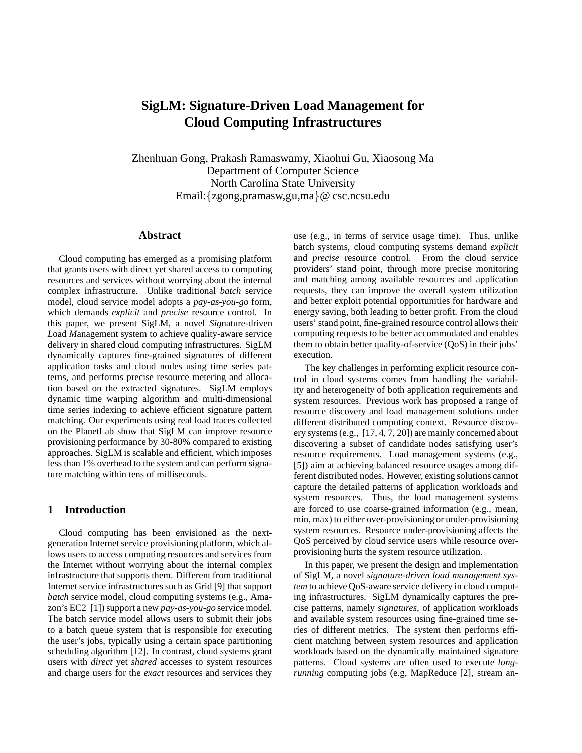# **SigLM: Signature-Driven Load Management for Cloud Computing Infrastructures**

Zhenhuan Gong, Prakash Ramaswamy, Xiaohui Gu, Xiaosong Ma Department of Computer Science North Carolina State University Email:{zgong,pramasw,gu,ma}@ csc.ncsu.edu

### **Abstract**

Cloud computing has emerged as a promising platform that grants users with direct yet shared access to computing resources and services without worrying about the internal complex infrastructure. Unlike traditional *batch* service model, cloud service model adopts a *pay-as-you-go* form, which demands *explicit* and *precise* resource control. In this paper, we present SigLM, a novel *Sig*nature-driven *L*oad *M*anagement system to achieve quality-aware service delivery in shared cloud computing infrastructures. SigLM dynamically captures fine-grained signatures of different application tasks and cloud nodes using time series patterns, and performs precise resource metering and allocation based on the extracted signatures. SigLM employs dynamic time warping algorithm and multi-dimensional time series indexing to achieve efficient signature pattern matching. Our experiments using real load traces collected on the PlanetLab show that SigLM can improve resource provisioning performance by 30-80% compared to existing approaches. SigLM is scalable and efficient, which imposes less than 1% overhead to the system and can perform signature matching within tens of milliseconds.

# **1 Introduction**

Cloud computing has been envisioned as the nextgeneration Internet service provisioning platform, which allows users to access computing resources and services from the Internet without worrying about the internal complex infrastructure that supports them. Different from traditional Internet service infrastructures such as Grid [9] that support *batch* service model, cloud computing systems (e.g., Amazon's EC2 [1]) support a new *pay-as-you-go* service model. The batch service model allows users to submit their jobs to a batch queue system that is responsible for executing the user's jobs, typically using a certain space partitioning scheduling algorithm [12]. In contrast, cloud systems grant users with *direct* yet *shared* accesses to system resources and charge users for the *exact* resources and services they

use (e.g., in terms of service usage time). Thus, unlike batch systems, cloud computing systems demand *explicit* and *precise* resource control. From the cloud service providers' stand point, through more precise monitoring and matching among available resources and application requests, they can improve the overall system utilization and better exploit potential opportunities for hardware and energy saving, both leading to better profit. From the cloud users' stand point, fine-grained resource control allows their computing requests to be better accommodated and enables them to obtain better quality-of-service (QoS) in their jobs' execution.

The key challenges in performing explicit resource control in cloud systems comes from handling the variability and heterogeneity of both application requirements and system resources. Previous work has proposed a range of resource discovery and load management solutions under different distributed computing context. Resource discovery systems (e.g., [17, 4, 7, 20]) are mainly concerned about discovering a subset of candidate nodes satisfying user's resource requirements. Load management systems (e.g., [5]) aim at achieving balanced resource usages among different distributed nodes. However, existing solutions cannot capture the detailed patterns of application workloads and system resources. Thus, the load management systems are forced to use coarse-grained information (e.g., mean, min, max) to either over-provisioning or under-provisioning system resources. Resource under-provisioning affects the QoS perceived by cloud service users while resource overprovisioning hurts the system resource utilization.

In this paper, we present the design and implementation of SigLM, a novel *signature-driven load management system* to achieve QoS-aware service delivery in cloud computing infrastructures. SigLM dynamically captures the precise patterns, namely *signatures*, of application workloads and available system resources using fine-grained time series of different metrics. The system then performs efficient matching between system resources and application workloads based on the dynamically maintained signature patterns. Cloud systems are often used to execute *longrunning* computing jobs (e.g, MapReduce [2], stream an-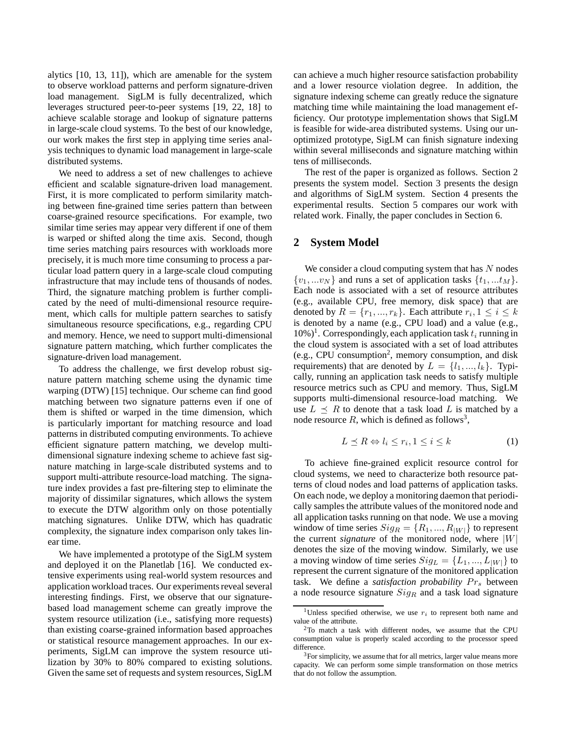alytics [10, 13, 11]), which are amenable for the system to observe workload patterns and perform signature-driven load management. SigLM is fully decentralized, which leverages structured peer-to-peer systems [19, 22, 18] to achieve scalable storage and lookup of signature patterns in large-scale cloud systems. To the best of our knowledge, our work makes the first step in applying time series analysis techniques to dynamic load management in large-scale distributed systems.

We need to address a set of new challenges to achieve efficient and scalable signature-driven load management. First, it is more complicated to perform similarity matching between fine-grained time series pattern than between coarse-grained resource specifications. For example, two similar time series may appear very different if one of them is warped or shifted along the time axis. Second, though time series matching pairs resources with workloads more precisely, it is much more time consuming to process a particular load pattern query in a large-scale cloud computing infrastructure that may include tens of thousands of nodes. Third, the signature matching problem is further complicated by the need of multi-dimensional resource requirement, which calls for multiple pattern searches to satisfy simultaneous resource specifications, e.g., regarding CPU and memory. Hence, we need to support multi-dimensional signature pattern matching, which further complicates the signature-driven load management.

To address the challenge, we first develop robust signature pattern matching scheme using the dynamic time warping (DTW) [15] technique. Our scheme can find good matching between two signature patterns even if one of them is shifted or warped in the time dimension, which is particularly important for matching resource and load patterns in distributed computing environments. To achieve efficient signature pattern matching, we develop multidimensional signature indexing scheme to achieve fast signature matching in large-scale distributed systems and to support multi-attribute resource-load matching. The signature index provides a fast pre-filtering step to eliminate the majority of dissimilar signatures, which allows the system to execute the DTW algorithm only on those potentially matching signatures. Unlike DTW, which has quadratic complexity, the signature index comparison only takes linear time.

We have implemented a prototype of the SigLM system and deployed it on the Planetlab [16]. We conducted extensive experiments using real-world system resources and application workload traces. Our experiments reveal several interesting findings. First, we observe that our signaturebased load management scheme can greatly improve the system resource utilization (i.e., satisfying more requests) than existing coarse-grained information based approaches or statistical resource management approaches. In our experiments, SigLM can improve the system resource utilization by 30% to 80% compared to existing solutions. Given the same set of requests and system resources, SigLM can achieve a much higher resource satisfaction probability and a lower resource violation degree. In addition, the signature indexing scheme can greatly reduce the signature matching time while maintaining the load management efficiency. Our prototype implementation shows that SigLM is feasible for wide-area distributed systems. Using our unoptimized prototype, SigLM can finish signature indexing within several milliseconds and signature matching within tens of milliseconds.

The rest of the paper is organized as follows. Section 2 presents the system model. Section 3 presents the design and algorithms of SigLM system. Section 4 presents the experimental results. Section 5 compares our work with related work. Finally, the paper concludes in Section 6.

#### **2 System Model**

We consider a cloud computing system that has  $N$  nodes  $\{v_1,...v_N\}$  and runs a set of application tasks  $\{t_1,...t_M\}$ . Each node is associated with a set of resource attributes (e.g., available CPU, free memory, disk space) that are denoted by  $R = \{r_1, ..., r_k\}$ . Each attribute  $r_i, 1 \leq i \leq k$ is denoted by a name (e.g., CPU load) and a value (e.g., 10%)<sup>1</sup>. Correspondingly, each application task  $t_i$  running in the cloud system is associated with a set of load attributes (e.g., CPU consumption<sup>2</sup>, memory consumption, and disk requirements) that are denoted by  $L = \{l_1, ..., l_k\}$ . Typically, running an application task needs to satisfy multiple resource metrics such as CPU and memory. Thus, SigLM supports multi-dimensional resource-load matching. We use  $L \prec R$  to denote that a task load L is matched by a node resource  $R$ , which is defined as follows<sup>3</sup>,

$$
L \preceq R \Leftrightarrow l_i \le r_i, 1 \le i \le k \tag{1}
$$

To achieve fine-grained explicit resource control for cloud systems, we need to characterize both resource patterns of cloud nodes and load patterns of application tasks. On each node, we deploy a monitoring daemon that periodically samples the attribute values of the monitored node and all application tasks running on that node. We use a moving window of time series  $Sig_R = \{R_1, ..., R_{|W|}\}\$ to represent the current *signature* of the monitored node, where  $|W|$ denotes the size of the moving window. Similarly, we use a moving window of time series  $Sig_L = \{L_1, ..., L_{|W|}\}\$ to represent the current signature of the monitored application task. We define a *satisfaction probability*  $Pr_s$  between a node resource signature  $Sig_R$  and a task load signature

<sup>&</sup>lt;sup>1</sup>Unless specified otherwise, we use  $r_i$  to represent both name and value of the attribute.

<sup>&</sup>lt;sup>2</sup>To match a task with different nodes, we assume that the CPU consumption value is properly scaled according to the processor speed difference.

<sup>&</sup>lt;sup>3</sup>For simplicity, we assume that for all metrics, larger value means more capacity. We can perform some simple transformation on those metrics that do not follow the assumption.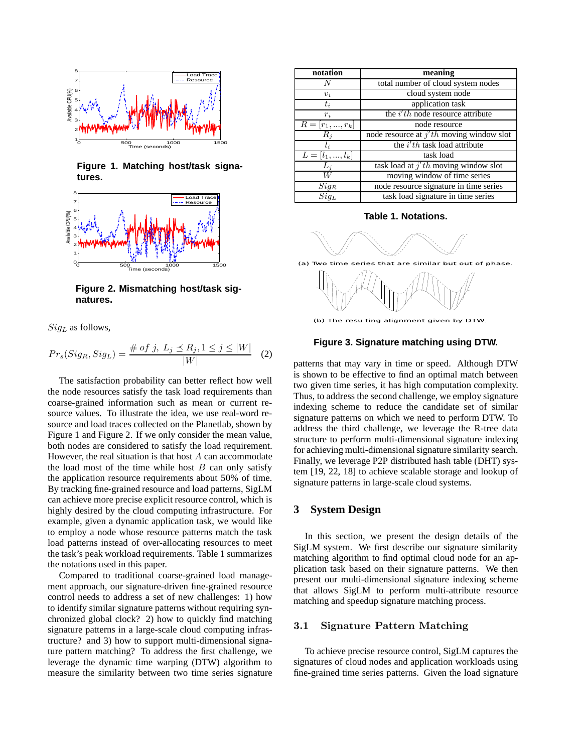

**Figure 1. Matching host/task signatures.**



**Figure 2. Mismatching host/task signatures.**

 $Sig<sub>L</sub>$  as follows,

$$
Pr_s(Sig_R, Sig_L) = \frac{\# \ of \ j, \ L_j \preceq R_j, 1 \leq j \leq |W|}{|W|} \tag{2}
$$

The satisfaction probability can better reflect how well the node resources satisfy the task load requirements than coarse-grained information such as mean or current resource values. To illustrate the idea, we use real-word resource and load traces collected on the Planetlab, shown by Figure 1 and Figure 2. If we only consider the mean value, both nodes are considered to satisfy the load requirement. However, the real situation is that host  $A$  can accommodate the load most of the time while host  $B$  can only satisfy the application resource requirements about 50% of time. By tracking fine-grained resource and load patterns, SigLM can achieve more precise explicit resource control, which is highly desired by the cloud computing infrastructure. For example, given a dynamic application task, we would like to employ a node whose resource patterns match the task load patterns instead of over-allocating resources to meet the task's peak workload requirements. Table 1 summarizes the notations used in this paper.

Compared to traditional coarse-grained load management approach, our signature-driven fine-grained resource control needs to address a set of new challenges: 1) how to identify similar signature patterns without requiring synchronized global clock? 2) how to quickly find matching signature patterns in a large-scale cloud computing infrastructure? and 3) how to support multi-dimensional signature pattern matching? To address the first challenge, we leverage the dynamic time warping (DTW) algorithm to measure the similarity between two time series signature

| notation           | meaning                                    |  |  |
|--------------------|--------------------------------------------|--|--|
| N                  | total number of cloud system nodes         |  |  |
| $v_i$              | cloud system node                          |  |  |
| $t_i$              | application task                           |  |  |
| $r_i$              | the $i'th$ node resource attribute         |  |  |
| $R = [r_1, , r_k]$ | node resource                              |  |  |
| $R_i$              | node resource at $j'th$ moving window slot |  |  |
| $l_i$              | the $i'th$ task load attribute             |  |  |
| $L=[l_1, , l_k]$   | task load                                  |  |  |
| $\mathcal{L}_i$    | task load at $j'th$ moving window slot     |  |  |
|                    | moving window of time series               |  |  |
| $Sig_R$            | node resource signature in time series     |  |  |
| $\overline{Sig_L}$ | task load signature in time series         |  |  |

**Table 1. Notations.**



(a) Two of phase.



(b) The resulting alignment given by DTW.

#### **Figure 3. Signature matching using DTW.**

patterns that may vary in time or speed. Although DTW is shown to be effective to find an optimal match between two given time series, it has high computation complexity. Thus, to address the second challenge, we employ signature indexing scheme to reduce the candidate set of similar signature patterns on which we need to perform DTW. To address the third challenge, we leverage the R-tree data structure to perform multi-dimensional signature indexing for achieving multi-dimensional signature similarity search. Finally, we leverage P2P distributed hash table (DHT) system [19, 22, 18] to achieve scalable storage and lookup of signature patterns in large-scale cloud systems.

# **3 System Design**

In this section, we present the design details of the SigLM system. We first describe our signature similarity matching algorithm to find optimal cloud node for an application task based on their signature patterns. We then present our multi-dimensional signature indexing scheme that allows SigLM to perform multi-attribute resource matching and speedup signature matching process.

# 3.1 Signature Pattern Matching

To achieve precise resource control, SigLM captures the signatures of cloud nodes and application workloads using fine-grained time series patterns. Given the load signature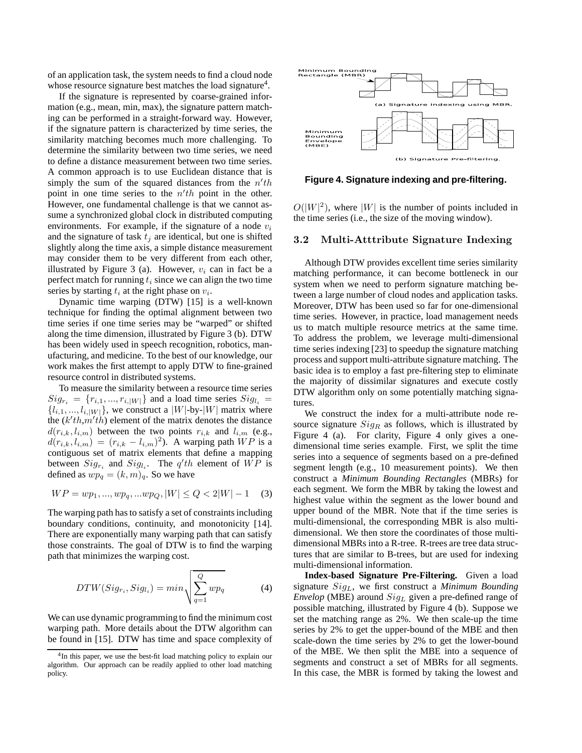of an application task, the system needs to find a cloud node whose resource signature best matches the load signature<sup>4</sup>.

If the signature is represented by coarse-grained information (e.g., mean, min, max), the signature pattern matching can be performed in a straight-forward way. However, if the signature pattern is characterized by time series, the similarity matching becomes much more challenging. To determine the similarity between two time series, we need to define a distance measurement between two time series. A common approach is to use Euclidean distance that is simply the sum of the squared distances from the  $n'th$ point in one time series to the  $n'th$  point in the other. However, one fundamental challenge is that we cannot assume a synchronized global clock in distributed computing environments. For example, if the signature of a node  $v_i$ and the signature of task  $t_i$  are identical, but one is shifted slightly along the time axis, a simple distance measurement may consider them to be very different from each other, illustrated by Figure 3 (a). However,  $v_i$  can in fact be a perfect match for running  $t_i$  since we can align the two time series by starting  $t_i$  at the right phase on  $v_i$ .

Dynamic time warping (DTW) [15] is a well-known technique for finding the optimal alignment between two time series if one time series may be "warped" or shifted along the time dimension, illustrated by Figure 3 (b). DTW has been widely used in speech recognition, robotics, manufacturing, and medicine. To the best of our knowledge, our work makes the first attempt to apply DTW to fine-grained resource control in distributed systems.

To measure the similarity between a resource time series  $Sig_{r_i} = \{r_{i,1}, ..., r_{i,|W|}\}\$  and a load time series  $Sig_{l_i}$  =  $\{l_{i,1},...,l_{i,|W|}\}\$ , we construct a  $|W|$ -by- $|W|$  matrix where the  $(k'th, m'th)$  element of the matrix denotes the distance  $d(r_{i,k}, l_{i,m})$  between the two points  $r_{i,k}$  and  $l_{i,m}$  (e.g.,  $d(r_{i,k}, l_{i,m}) = (r_{i,k} - l_{i,m})^2$ ). A warping path  $\hat{W}P$  is a contiguous set of matrix elements that define a mapping between  $Sig_{r_i}$  and  $Sig_{l_i}$ . The  $q'th$  element of  $WP$  is defined as  $wp_q = (k, m)_q$ . So we have

$$
WP = wp_1, ..., wp_q, ...wp_Q, |W| \le Q < 2|W| - 1 \quad (3)
$$

The warping path has to satisfy a set of constraints including boundary conditions, continuity, and monotonicity [14]. There are exponentially many warping path that can satisfy those constraints. The goal of DTW is to find the warping path that minimizes the warping cost.

$$
DTW(Sig_{r_i}, Sig_{l_i}) = min \sqrt{\sum_{q=1}^{Q} wp_q}
$$
 (4)

We can use dynamic programming to find the minimum cost warping path. More details about the DTW algorithm can be found in [15]. DTW has time and space complexity of



**Figure 4. Signature indexing and pre-filtering.**

 $O(|W|^2)$ , where  $|W|$  is the number of points included in the time series (i.e., the size of the moving window).

#### 3.2 Multi-Atttribute Signature Indexing

Although DTW provides excellent time series similarity matching performance, it can become bottleneck in our system when we need to perform signature matching between a large number of cloud nodes and application tasks. Moreover, DTW has been used so far for one-dimensional time series. However, in practice, load management needs us to match multiple resource metrics at the same time. To address the problem, we leverage multi-dimensional time series indexing [23] to speedup the signature matching process and support multi-attribute signature matching. The basic idea is to employ a fast pre-filtering step to eliminate the majority of dissimilar signatures and execute costly DTW algorithm only on some potentially matching signatures.

We construct the index for a multi-attribute node resource signature  $Sig_R$  as follows, which is illustrated by Figure 4 (a). For clarity, Figure 4 only gives a onedimensional time series example. First, we split the time series into a sequence of segments based on a pre-defined segment length (e.g., 10 measurement points). We then construct a *Minimum Bounding Rectangles* (MBRs) for each segment. We form the MBR by taking the lowest and highest value within the segment as the lower bound and upper bound of the MBR. Note that if the time series is multi-dimensional, the corresponding MBR is also multidimensional. We then store the coordinates of those multidimensional MBRs into a R-tree. R-trees are tree data structures that are similar to B-trees, but are used for indexing multi-dimensional information.

**Index-based Signature Pre-Filtering.** Given a load signature SigL, we first construct a *Minimum Bounding Envelop* (MBE) around  $Sig<sub>L</sub>$  given a pre-defined range of possible matching, illustrated by Figure 4 (b). Suppose we set the matching range as 2%. We then scale-up the time series by 2% to get the upper-bound of the MBE and then scale-down the time series by 2% to get the lower-bound of the MBE. We then split the MBE into a sequence of segments and construct a set of MBRs for all segments. In this case, the MBR is formed by taking the lowest and

<sup>&</sup>lt;sup>4</sup>In this paper, we use the best-fit load matching policy to explain our algorithm. Our approach can be readily applied to other load matching policy.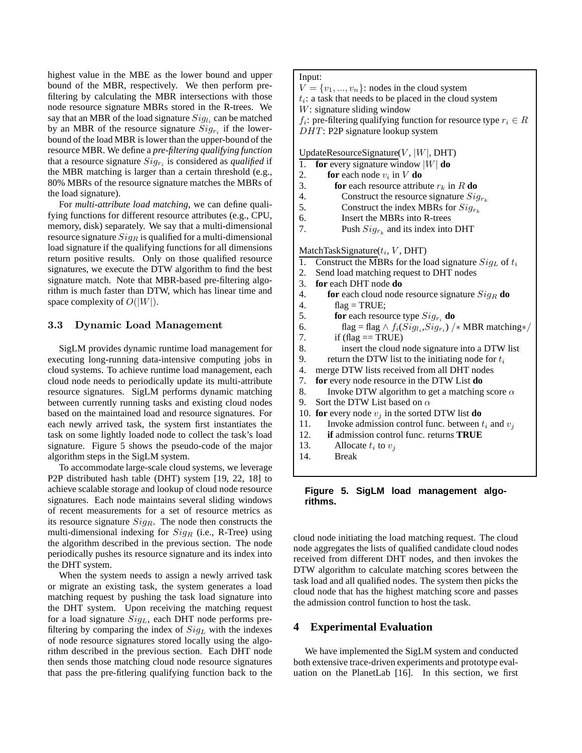highest value in the MBE as the lower bound and upper bound of the MBR, respectively. We then perform prefiltering by calculating the MBR intersections with those node resource signature MBRs stored in the R-trees. We say that an MBR of the load signature  $Sig_{l_i}$  can be matched by an MBR of the resource signature  $Sig_{r_i}$  if the lowerbound of the load MBR is lower than the upper-bound of the resource MBR. We define a *pre-filtering qualifying function* that a resource signature  $Sig_{r_i}$  is considered as *qualified* if the MBR matching is larger than a certain threshold (e.g., 80% MBRs of the resource signature matches the MBRs of the load signature).

For *multi-attribute load matching*, we can define qualifying functions for different resource attributes (e.g., CPU, memory, disk) separately. We say that a multi-dimensional resource signature  $Sig_R$  is qualified for a multi-dimensional load signature if the qualifying functions for all dimensions return positive results. Only on those qualified resource signatures, we execute the DTW algorithm to find the best signature match. Note that MBR-based pre-filtering algorithm is much faster than DTW, which has linear time and space complexity of  $O(|W|)$ .

### 3.3 Dynamic Load Management

SigLM provides dynamic runtime load management for executing long-running data-intensive computing jobs in cloud systems. To achieve runtime load management, each cloud node needs to periodically update its multi-attribute resource signatures. SigLM performs dynamic matching between currently running tasks and existing cloud nodes based on the maintained load and resource signatures. For each newly arrived task, the system first instantiates the task on some lightly loaded node to collect the task's load signature. Figure 5 shows the pseudo-code of the major algorithm steps in the SigLM system.

To accommodate large-scale cloud systems, we leverage P2P distributed hash table (DHT) system [19, 22, 18] to achieve scalable storage and lookup of cloud node resource signatures. Each node maintains several sliding windows of recent measurements for a set of resource metrics as its resource signature  $Sig_R$ . The node then constructs the multi-dimensional indexing for  $Sig_R$  (i.e., R-Tree) using the algorithm described in the previous section. The node periodically pushes its resource signature and its index into the DHT system.

When the system needs to assign a newly arrived task or migrate an existing task, the system generates a load matching request by pushing the task load signature into the DHT system. Upon receiving the matching request for a load signature  $Sig<sub>L</sub>$ , each DHT node performs prefiltering by comparing the index of  $Sig<sub>L</sub>$  with the indexes of node resource signatures stored locally using the algorithm described in the previous section. Each DHT node then sends those matching cloud node resource signatures that pass the pre-fitlering qualifying function back to the Input:

- $V = \{v_1, ..., v_n\}$ : nodes in the cloud system
- $t_i$ : a task that needs to be placed in the cloud system
- W: signature sliding window
- $f_i$ : pre-filtering qualifying function for resource type  $r_i \in R$
- DHT: P2P signature lookup system

#### UpdateResourceSignature $(V, |W|, \text{DHT})$

- 1. **for** every signature window  $|W|$  **do**
- 2. **for** each node  $v_i$  in  $V$  **do**
- 3. **for** each resource attribute  $r_k$  in R **do**
- 4. Construct the resource signature  $Sig_{r_k}$ <br>5. Construct the index MBRs for  $Sig_{r_k}$
- 5. Construct the index MBRs for  $Sig_{r_k}$ <br>6. Insert the MBRs into R-trees
- Insert the MBRs into R-trees
- 7. Push  $Sig_{r_k}$  and its index into DHT

 $\text{MatchTaskSignature}(t_i, V, \text{DHT})$ 

- 1. Construct the MBRs for the load signature  $Sig_L$  of  $t_i$
- 2. Send load matching request to DHT nodes
- 3. **for** each DHT node **do**
- 4. **for** each cloud node resource signature  $Sig_R$  **do**<br>4. **flag** = TRUE:
- $flag = TRUE;$
- 5. **for** each resource type  $Sig_{r_i}$  **do**
- 6. flag = flag  $\wedge f_i(Sig_{l_i}, Sig_{r_i})$  /\* MBR matching\*/ 7. if (flag  $==$  TRUE)
	-
- 8. insert the cloud node signature into a DTW list
- 9. return the DTW list to the initiating node for  $t_i$ <br>4. merge DTW lists received from all DHT nodes
- 4. merge DTW lists received from all DHT nodes
- 7. **for** every node resource in the DTW List **do**
- 8. Invoke DTW algorithm to get a matching score  $\alpha$
- 9. Sort the DTW List based on  $\alpha$
- 10. **for** every node  $v_j$  in the sorted DTW list **do**
- 11. Invoke admission control func. between  $t_i$  and  $v_j$ <br>12. **if** admission control func. returns **TRUE**
- 12. **if** admission control func. returns **TRUE**
- 13. Allocate  $t_i$  to  $v_j$
- 14. Break

#### **Figure 5. SigLM load management algorithms.**

cloud node initiating the load matching request. The cloud node aggregates the lists of qualified candidate cloud nodes received from different DHT nodes, and then invokes the DTW algorithm to calculate matching scores between the task load and all qualified nodes. The system then picks the cloud node that has the highest matching score and passes the admission control function to host the task.

### **4 Experimental Evaluation**

We have implemented the SigLM system and conducted both extensive trace-driven experiments and prototype evaluation on the PlanetLab [16]. In this section, we first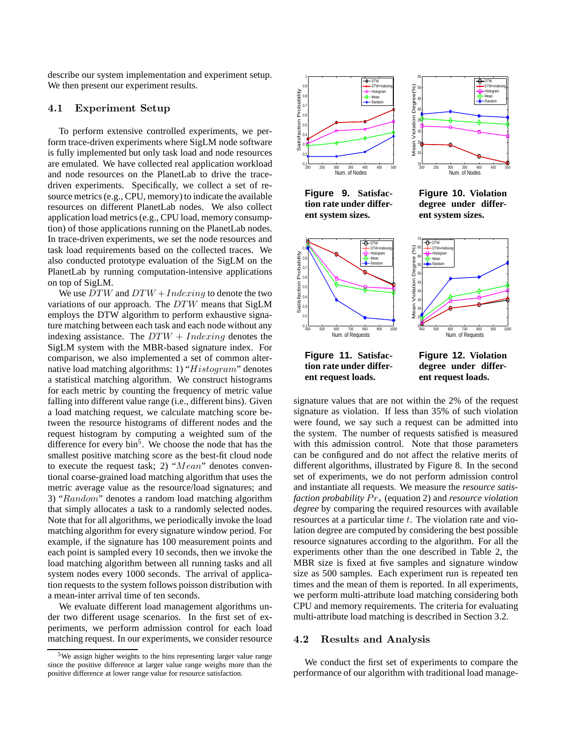describe our system implementation and experiment setup. We then present our experiment results.

#### 4.1 Experiment Setup

To perform extensive controlled experiments, we perform trace-driven experiments where SigLM node software is fully implemented but only task load and node resources are emulated. We have collected real application workload and node resources on the PlanetLab to drive the tracedriven experiments. Specifically, we collect a set of resource metrics (e.g., CPU, memory) to indicate the available resources on different PlanetLab nodes. We also collect application load metrics (e.g., CPU load, memory consumption) of those applications running on the PlanetLab nodes. In trace-driven experiments, we set the node resources and task load requirements based on the collected traces. We also conducted prototype evaluation of the SigLM on the PlanetLab by running computation-intensive applications on top of SigLM.

We use  $DTW$  and  $DTW + Indexing$  to denote the two variations of our approach. The DTW means that SigLM employs the DTW algorithm to perform exhaustive signature matching between each task and each node without any indexing assistance. The  $DTW + Indexing$  denotes the SigLM system with the MBR-based signature index. For comparison, we also implemented a set of common alternative load matching algorithms: 1) "Histogram" denotes a statistical matching algorithm. We construct histograms for each metric by counting the frequency of metric value falling into different value range (i.e., different bins). Given a load matching request, we calculate matching score between the resource histograms of different nodes and the request histogram by computing a weighted sum of the difference for every bin<sup>5</sup>. We choose the node that has the smallest positive matching score as the best-fit cloud node to execute the request task; 2) " $Mean$ " denotes conventional coarse-grained load matching algorithm that uses the metric average value as the resource/load signatures; and 3) "Random" denotes a random load matching algorithm that simply allocates a task to a randomly selected nodes. Note that for all algorithms, we periodically invoke the load matching algorithm for every signature window period. For example, if the signature has 100 measurement points and each point is sampled every 10 seconds, then we invoke the load matching algorithm between all running tasks and all system nodes every 1000 seconds. The arrival of application requests to the system follows poisson distribution with a mean-inter arrival time of ten seconds.

We evaluate different load management algorithms under two different usage scenarios. In the first set of experiments, we perform admission control for each load matching request. In our experiments, we consider resource





**Figure 9. Satisfaction rate under different system sizes.**

**Figure 10. Violation degree under different system sizes.**



signature values that are not within the 2% of the request signature as violation. If less than 35% of such violation were found, we say such a request can be admitted into the system. The number of requests satisfied is measured with this admission control. Note that those parameters can be configured and do not affect the relative merits of different algorithms, illustrated by Figure 8. In the second set of experiments, we do not perform admission control and instantiate all requests. We measure the *resource satisfaction probability*  $Pr_s$  (equation 2) and *resource violation degree* by comparing the required resources with available resources at a particular time t. The violation rate and violation degree are computed by considering the best possible resource signatures according to the algorithm. For all the experiments other than the one described in Table 2, the MBR size is fixed at five samples and signature window size as 500 samples. Each experiment run is repeated ten times and the mean of them is reported. In all experiments, we perform multi-attribute load matching considering both CPU and memory requirements. The criteria for evaluating multi-attribute load matching is described in Section 3.2.

#### 4.2 Results and Analysis

We conduct the first set of experiments to compare the performance of our algorithm with traditional load manage-

<sup>5</sup>We assign higher weights to the bins representing larger value range since the positive difference at larger value range weighs more than the positive difference at lower range value for resource satisfaction.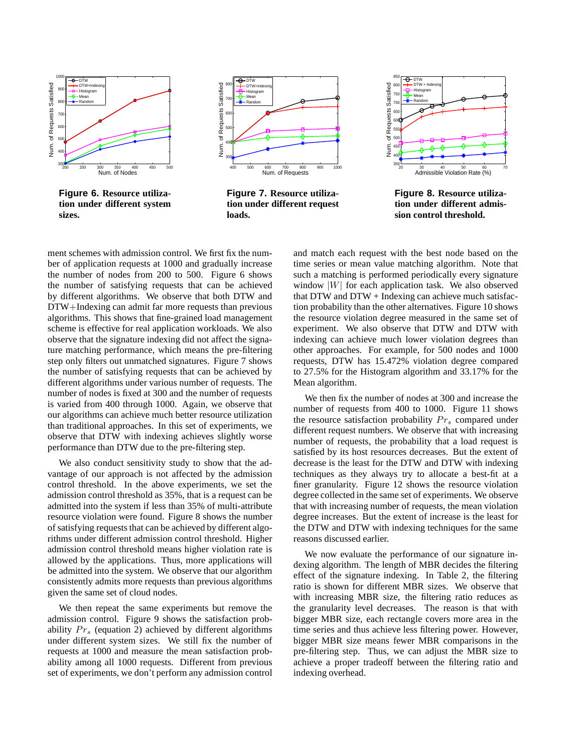

**Figure 6. Resource utilization under different system sizes.**



**Figure 7. Resource utilization under different request loads.**



**Figure 8. Resource utilization under different admission control threshold.**

ment schemes with admission control. We first fix the number of application requests at 1000 and gradually increase the number of nodes from 200 to 500. Figure 6 shows the number of satisfying requests that can be achieved by different algorithms. We observe that both DTW and DTW+Indexing can admit far more requests than previous algorithms. This shows that fine-grained load management scheme is effective for real application workloads. We also observe that the signature indexing did not affect the signature matching performance, which means the pre-filtering step only filters out unmatched signatures. Figure 7 shows the number of satisfying requests that can be achieved by different algorithms under various number of requests. The number of nodes is fixed at 300 and the number of requests is varied from 400 through 1000. Again, we observe that our algorithms can achieve much better resource utilization than traditional approaches. In this set of experiments, we observe that DTW with indexing achieves slightly worse performance than DTW due to the pre-filtering step.

We also conduct sensitivity study to show that the advantage of our approach is not affected by the admission control threshold. In the above experiments, we set the admission control threshold as 35%, that is a request can be admitted into the system if less than 35% of multi-attribute resource violation were found. Figure 8 shows the number of satisfying requests that can be achieved by different algorithms under different admission control threshold. Higher admission control threshold means higher violation rate is allowed by the applications. Thus, more applications will be admitted into the system. We observe that our algorithm consistently admits more requests than previous algorithms given the same set of cloud nodes.

We then repeat the same experiments but remove the admission control. Figure 9 shows the satisfaction probability  $Pr_s$  (equation 2) achieved by different algorithms under different system sizes. We still fix the number of requests at 1000 and measure the mean satisfaction probability among all 1000 requests. Different from previous set of experiments, we don't perform any admission control and match each request with the best node based on the time series or mean value matching algorithm. Note that such a matching is performed periodically every signature window  $|W|$  for each application task. We also observed that DTW and DTW + Indexing can achieve much satisfaction probability than the other alternatives. Figure 10 shows the resource violation degree measured in the same set of experiment. We also observe that DTW and DTW with indexing can achieve much lower violation degrees than other approaches. For example, for 500 nodes and 1000 requests, DTW has 15.472% violation degree compared to 27.5% for the Histogram algorithm and 33.17% for the Mean algorithm.

We then fix the number of nodes at 300 and increase the number of requests from 400 to 1000. Figure 11 shows the resource satisfaction probability  $Pr<sub>s</sub>$  compared under different request numbers. We observe that with increasing number of requests, the probability that a load request is satisfied by its host resources decreases. But the extent of decrease is the least for the DTW and DTW with indexing techniques as they always try to allocate a best-fit at a finer granularity. Figure 12 shows the resource violation degree collected in the same set of experiments. We observe that with increasing number of requests, the mean violation degree increases. But the extent of increase is the least for the DTW and DTW with indexing techniques for the same reasons discussed earlier.

We now evaluate the performance of our signature indexing algorithm. The length of MBR decides the filtering effect of the signature indexing. In Table 2, the filtering ratio is shown for different MBR sizes. We observe that with increasing MBR size, the filtering ratio reduces as the granularity level decreases. The reason is that with bigger MBR size, each rectangle covers more area in the time series and thus achieve less filtering power. However, bigger MBR size means fewer MBR comparisons in the pre-filtering step. Thus, we can adjust the MBR size to achieve a proper tradeoff between the filtering ratio and indexing overhead.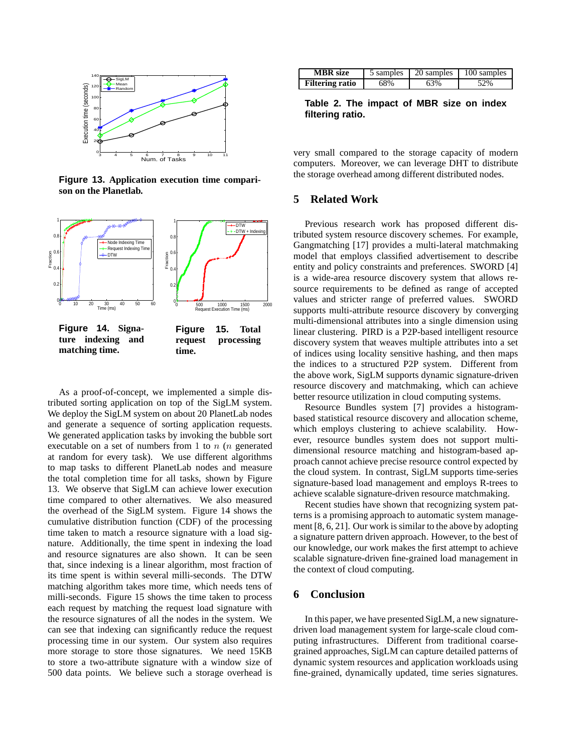

**Figure 13. Application execution time comparison on the Planetlab.**



As a proof-of-concept, we implemented a simple distributed sorting application on top of the SigLM system. We deploy the SigLM system on about 20 PlanetLab nodes and generate a sequence of sorting application requests. We generated application tasks by invoking the bubble sort executable on a set of numbers from 1 to  $n(n)$  generated at random for every task). We use different algorithms to map tasks to different PlanetLab nodes and measure the total completion time for all tasks, shown by Figure 13. We observe that SigLM can achieve lower execution time compared to other alternatives. We also measured the overhead of the SigLM system. Figure 14 shows the cumulative distribution function (CDF) of the processing time taken to match a resource signature with a load signature. Additionally, the time spent in indexing the load and resource signatures are also shown. It can be seen that, since indexing is a linear algorithm, most fraction of its time spent is within several milli-seconds. The DTW matching algorithm takes more time, which needs tens of milli-seconds. Figure 15 shows the time taken to process each request by matching the request load signature with the resource signatures of all the nodes in the system. We can see that indexing can significantly reduce the request processing time in our system. Our system also requires more storage to store those signatures. We need 15KB to store a two-attribute signature with a window size of 500 data points. We believe such a storage overhead is

| <b>MBR</b> size        | 5 samples | 20 samples | 100 samples |
|------------------------|-----------|------------|-------------|
| <b>Filtering ratio</b> | 68%       | 63%        | 52%         |

**Table 2. The impact of MBR size on index filtering ratio.**

very small compared to the storage capacity of modern computers. Moreover, we can leverage DHT to distribute the storage overhead among different distributed nodes.

### **5 Related Work**

Previous research work has proposed different distributed system resource discovery schemes. For example, Gangmatching [17] provides a multi-lateral matchmaking model that employs classified advertisement to describe entity and policy constraints and preferences. SWORD [4] is a wide-area resource discovery system that allows resource requirements to be defined as range of accepted values and stricter range of preferred values. SWORD supports multi-attribute resource discovery by converging multi-dimensional attributes into a single dimension using linear clustering. PIRD is a P2P-based intelligent resource discovery system that weaves multiple attributes into a set of indices using locality sensitive hashing, and then maps the indices to a structured P2P system. Different from the above work, SigLM supports dynamic signature-driven resource discovery and matchmaking, which can achieve better resource utilization in cloud computing systems.

Resource Bundles system [7] provides a histogrambased statistical resource discovery and allocation scheme, which employs clustering to achieve scalability. However, resource bundles system does not support multidimensional resource matching and histogram-based approach cannot achieve precise resource control expected by the cloud system. In contrast, SigLM supports time-series signature-based load management and employs R-trees to achieve scalable signature-driven resource matchmaking.

Recent studies have shown that recognizing system patterns is a promising approach to automatic system management [8, 6, 21]. Our work is similar to the above by adopting a signature pattern driven approach. However, to the best of our knowledge, our work makes the first attempt to achieve scalable signature-driven fine-grained load management in the context of cloud computing.

### **6 Conclusion**

In this paper, we have presented SigLM, a new signaturedriven load management system for large-scale cloud computing infrastructures. Different from traditional coarsegrained approaches, SigLM can capture detailed patterns of dynamic system resources and application workloads using fine-grained, dynamically updated, time series signatures.